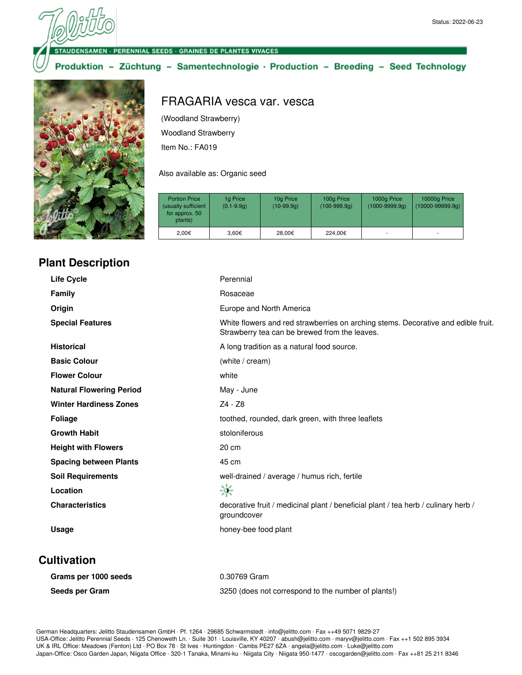#### **DENSAMEN · PERENNIAL SEEDS · GRAINES DE PLANTES VIVACES**

#### Produktion - Züchtung - Samentechnologie · Production - Breeding - Seed Technology



#### **Plant Description**

# FRAGARIA vesca var. vesca

(Woodland Strawberry)

Woodland Strawberry

Item No.: FA019

Also available as: Organic seed

| <b>Portion Price</b><br>(usually sufficient<br>for approx. 50<br>plants) | 1g Price<br>$(0.1 - 9.9q)$ | 10g Price<br>$(10-99.9q)$ | 100g Price<br>$(100-999.9q)$ | 1000g Price<br>$(1000 - 9999.9q)$ | 10000g Price<br>$(10000 - 99999.9q)$ |
|--------------------------------------------------------------------------|----------------------------|---------------------------|------------------------------|-----------------------------------|--------------------------------------|
| 2.00€                                                                    | 3.60€                      | 28.00€                    | 224.00€                      |                                   |                                      |

| <b>Life Cycle</b>               | Perennial                                                                                                                          |
|---------------------------------|------------------------------------------------------------------------------------------------------------------------------------|
| Family                          | Rosaceae                                                                                                                           |
| Origin                          | Europe and North America                                                                                                           |
| <b>Special Features</b>         | White flowers and red strawberries on arching stems. Decorative and edible fruit.<br>Strawberry tea can be brewed from the leaves. |
| <b>Historical</b>               | A long tradition as a natural food source.                                                                                         |
| <b>Basic Colour</b>             | (white / cream)                                                                                                                    |
| <b>Flower Colour</b>            | white                                                                                                                              |
| <b>Natural Flowering Period</b> | May - June                                                                                                                         |
| <b>Winter Hardiness Zones</b>   | Z4 - Z8                                                                                                                            |
| <b>Foliage</b>                  | toothed, rounded, dark green, with three leaflets                                                                                  |
| <b>Growth Habit</b>             | stoloniferous                                                                                                                      |
| <b>Height with Flowers</b>      | 20 cm                                                                                                                              |
| <b>Spacing between Plants</b>   | 45 cm                                                                                                                              |
| <b>Soil Requirements</b>        | well-drained / average / humus rich, fertile                                                                                       |
| Location                        | 豪                                                                                                                                  |
| <b>Characteristics</b>          | decorative fruit / medicinal plant / beneficial plant / tea herb / culinary herb /<br>groundcover                                  |
| Usage                           | honey-bee food plant                                                                                                               |
|                                 |                                                                                                                                    |

#### **Cultivation**

| Grams per 1000 seeds | 0.30769 Gram                                        |
|----------------------|-----------------------------------------------------|
| Seeds per Gram       | 3250 (does not correspond to the number of plants!) |